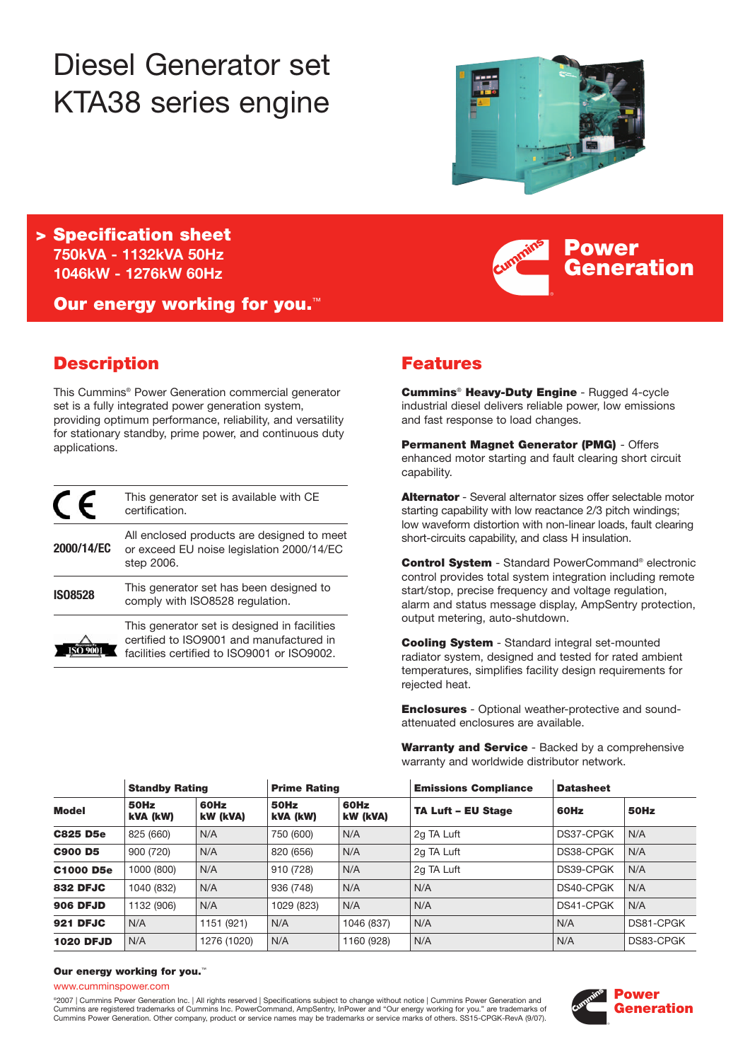# Diesel Generator set KTA38 series engine



**Power**

**Generation**

**> Specification sheet 750kVA - 1132kVA 50Hz 1046kW - 1276kW 60Hz**

**Our energy working for you.**™

# **Description**

This Cummins® Power Generation commercial generator set is a fully integrated power generation system, providing optimum performance, reliability, and versatility for stationary standby, prime power, and continuous duty applications.

|                | This generator set is available with CE<br>certification.                                                                               |
|----------------|-----------------------------------------------------------------------------------------------------------------------------------------|
| 2000/14/EC     | All enclosed products are designed to meet<br>or exceed EU noise legislation 2000/14/EC<br>step 2006.                                   |
| <b>IS08528</b> | This generator set has been designed to<br>comply with ISO8528 regulation.                                                              |
|                | This generator set is designed in facilities<br>certified to ISO9001 and manufactured in<br>facilities certified to ISO9001 or ISO9002. |

# **Features**

**Cummins**® **Heavy-Duty Engine** - Rugged 4-cycle industrial diesel delivers reliable power, low emissions and fast response to load changes.

**Permanent Magnet Generator (PMG)** - Offers enhanced motor starting and fault clearing short circuit capability.

**Alternator** - Several alternator sizes offer selectable motor starting capability with low reactance 2/3 pitch windings; low waveform distortion with non-linear loads, fault clearing short-circuits capability, and class H insulation.

**Control System** - Standard PowerCommand® electronic control provides total system integration including remote start/stop, precise frequency and voltage regulation. alarm and status message display, AmpSentry protection, output metering, auto-shutdown.

**Cooling System** - Standard integral set-mounted radiator system, designed and tested for rated ambient temperatures, simplifies facility design requirements for rejected heat.

**Enclosures** - Optional weather-protective and soundattenuated enclosures are available.

**Warranty and Service** - Backed by a comprehensive warranty and worldwide distributor network.

|                  | <b>Standby Rating</b> |                  | <b>Prime Rating</b> |                  | <b>Emissions Compliance</b> | <b>Datasheet</b> |           |
|------------------|-----------------------|------------------|---------------------|------------------|-----------------------------|------------------|-----------|
| <b>Model</b>     | 50Hz<br>kVA (kW)      | 60Hz<br>kW (kVA) | 50Hz<br>kVA (kW)    | 60Hz<br>kW (kVA) | <b>TA Luft - EU Stage</b>   | 60Hz             | 50Hz      |
| <b>C825 D5e</b>  | 825 (660)             | N/A              | 750 (600)           | N/A              | 2g TA Luft                  | DS37-CPGK        | N/A       |
| <b>C900 D5</b>   | 900 (720)             | N/A              | 820 (656)           | N/A              | 2g TA Luft                  | DS38-CPGK        | N/A       |
| <b>C1000 D5e</b> | 1000 (800)            | N/A              | 910 (728)           | N/A              | 2g TA Luft                  | DS39-CPGK        | N/A       |
| <b>832 DFJC</b>  | 1040 (832)            | N/A              | 936 (748)           | N/A              | N/A                         | DS40-CPGK        | N/A       |
| <b>906 DFJD</b>  | 1132 (906)            | N/A              | 1029 (823)          | N/A              | N/A                         | DS41-CPGK        | N/A       |
| 921 DFJC         | N/A                   | 1151 (921)       | N/A                 | 1046 (837)       | N/A                         | N/A              | DS81-CPGK |
| <b>1020 DFJD</b> | N/A                   | 1276 (1020)      | N/A                 | 1160 (928)       | N/A                         | N/A              | DS83-CPGK |

#### **Our energy working for you.**™

www.cumminspower.com

©2007 | Cummins Power Generation Inc. | All rights reserved | Specifications subject to change without notice | Cummins Power Generation and Cummins are registered trademarks of Cummins Inc. PowerCommand, AmpSentry, InPower and "Our energy working for you." are trademarks of Cummins Power Generation. Other company, product or service names may be trademarks or service marks of others. SS15-CPGK-RevA (9/07).

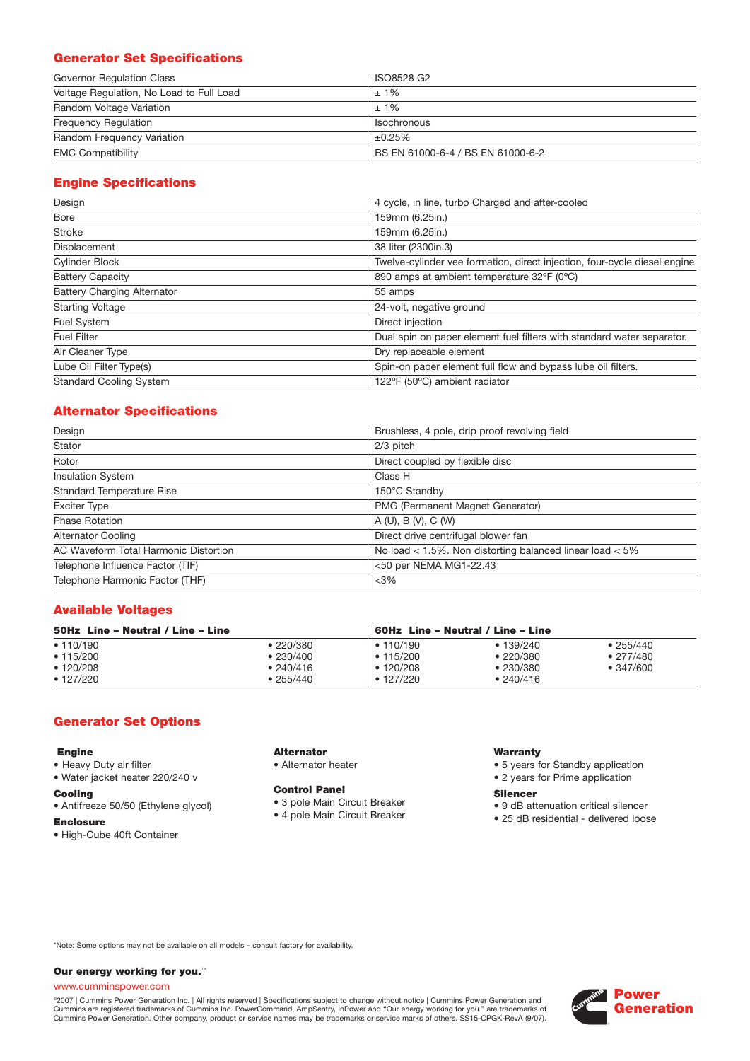# **Generator Set Specifications**

| Governor Regulation Class                | ISO8528 G2                        |
|------------------------------------------|-----------------------------------|
| Voltage Regulation, No Load to Full Load | $±1\%$                            |
| Random Voltage Variation                 | $±1\%$                            |
| <b>Frequency Requiation</b>              | Isochronous                       |
| Random Frequency Variation               | ±0.25%                            |
| <b>EMC Compatibility</b>                 | BS EN 61000-6-4 / BS EN 61000-6-2 |

# **Engine Specifications**

| Design                             | 4 cycle, in line, turbo Charged and after-cooled                          |  |  |
|------------------------------------|---------------------------------------------------------------------------|--|--|
| Bore                               | 159mm (6.25in.)                                                           |  |  |
| <b>Stroke</b>                      | 159mm (6.25in.)                                                           |  |  |
| Displacement                       | 38 liter (2300in.3)                                                       |  |  |
| <b>Cylinder Block</b>              | Twelve-cylinder vee formation, direct injection, four-cycle diesel engine |  |  |
| <b>Battery Capacity</b>            | 890 amps at ambient temperature 32°F (0°C)                                |  |  |
| <b>Battery Charging Alternator</b> | 55 amps                                                                   |  |  |
| <b>Starting Voltage</b>            | 24-volt, negative ground                                                  |  |  |
| Fuel System                        | Direct injection                                                          |  |  |
| <b>Fuel Filter</b>                 | Dual spin on paper element fuel filters with standard water separator.    |  |  |
| Air Cleaner Type                   | Dry replaceable element                                                   |  |  |
| Lube Oil Filter Type(s)            | Spin-on paper element full flow and bypass lube oil filters.              |  |  |
| <b>Standard Cooling System</b>     | 122°F (50°C) ambient radiator                                             |  |  |

# **Alternator Specifications**

| Design                                | Brushless, 4 pole, drip proof revolving field                |  |  |
|---------------------------------------|--------------------------------------------------------------|--|--|
| Stator                                | 2/3 pitch                                                    |  |  |
| Rotor                                 | Direct coupled by flexible disc                              |  |  |
| <b>Insulation System</b>              | Class H                                                      |  |  |
| <b>Standard Temperature Rise</b>      | 150°C Standby                                                |  |  |
| <b>Exciter Type</b>                   | PMG (Permanent Magnet Generator)                             |  |  |
| <b>Phase Rotation</b>                 | A(U), B(V), C(W)                                             |  |  |
| <b>Alternator Cooling</b>             | Direct drive centrifugal blower fan                          |  |  |
| AC Waveform Total Harmonic Distortion | No load $<$ 1.5%. Non distorting balanced linear load $<$ 5% |  |  |
| Telephone Influence Factor (TIF)      | <50 per NEMA MG1-22.43                                       |  |  |
| Telephone Harmonic Factor (THF)       | $<$ 3%                                                       |  |  |

## **Available Voltages**

| 50Hz Line - Neutral / Line - Line |           |                 | 60Hz Line – Neutral / Line – Line |                   |  |
|-----------------------------------|-----------|-----------------|-----------------------------------|-------------------|--|
| • 110/190                         | ● 220/380 | • 110/190       | • 139/240                         | • 255/440         |  |
| • 115/200                         | •230/400  | • 115/200       | •220/380                          | • 277/480         |  |
| • 120/208                         | • 240/416 | • 120/208       | •230/380                          | $\bullet$ 347/600 |  |
| $\bullet$ 127/220                 | • 255/440 | $\cdot$ 127/220 | • 240/416                         |                   |  |

#### **Generator Set Options**

#### **Engine**

- Heavy Duty air filter
- Water jacket heater 220/240 v

### **Cooling**

- Antifreeze 50/50 (Ethylene glycol)
- **Enclosure**
- High-Cube 40ft Container

# **Alternator**

• Alternator heater

#### **Control Panel**

- 3 pole Main Circuit Breaker
- 4 pole Main Circuit Breaker

#### **Warranty**

- 5 years for Standby application
- 2 years for Prime application

#### **Silencer**

- 9 dB attenuation critical silencer
- 25 dB residential delivered loose

\*Note: Some options may not be available on all models – consult factory for availability.

#### **Our energy working for you.**™

#### www.cumminspower.com

°2007 | Cummins Power Generation Inc. | All rights reserved | Specifications subject to change without notice | Cummins Power Generation and<br>Cummins are registered trademarks of Cummins Inc. PowerCommand, AmpSentry, InPow

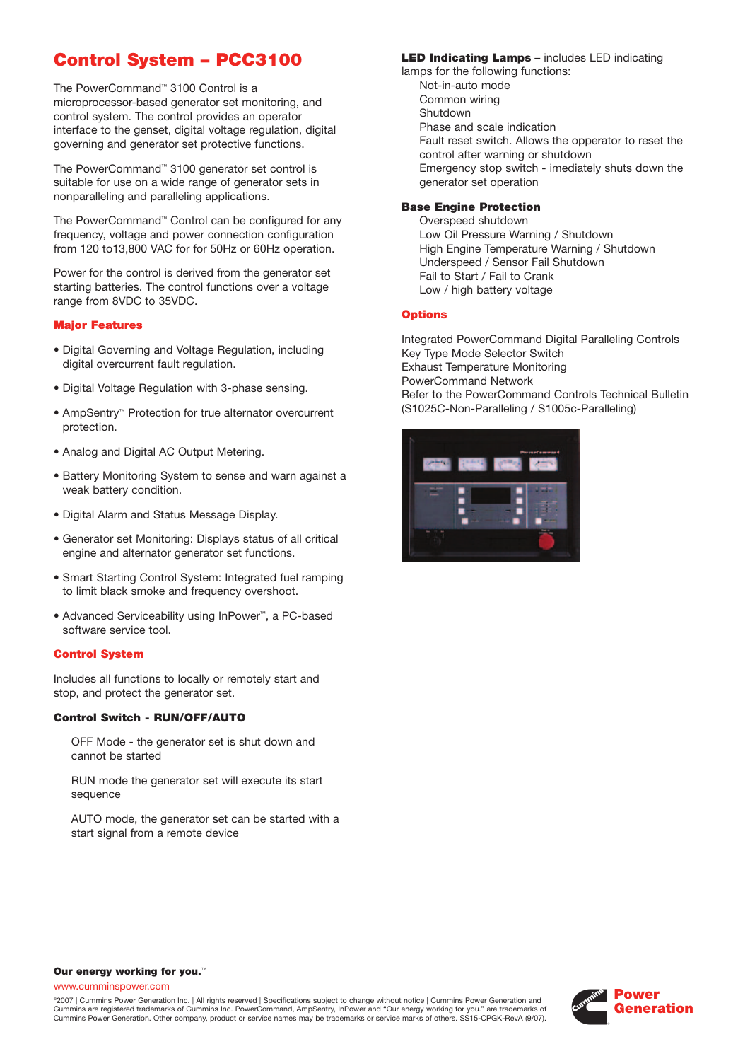# **Control System – PCC3100**

The PowerCommand™ 3100 Control is a microprocessor-based generator set monitoring, and control system. The control provides an operator interface to the genset, digital voltage regulation, digital governing and generator set protective functions.

The PowerCommand™ 3100 generator set control is suitable for use on a wide range of generator sets in nonparalleling and paralleling applications.

The PowerCommand™ Control can be configured for any frequency, voltage and power connection configuration from 120 to13,800 VAC for for 50Hz or 60Hz operation.

Power for the control is derived from the generator set starting batteries. The control functions over a voltage range from 8VDC to 35VDC.

#### **Major Features**

- Digital Governing and Voltage Regulation, including digital overcurrent fault regulation.
- Digital Voltage Regulation with 3-phase sensing.
- AmpSentry™ Protection for true alternator overcurrent protection.
- Analog and Digital AC Output Metering.
- Battery Monitoring System to sense and warn against a weak battery condition.
- Digital Alarm and Status Message Display.
- Generator set Monitoring: Displays status of all critical engine and alternator generator set functions.
- Smart Starting Control System: Integrated fuel ramping to limit black smoke and frequency overshoot.
- Advanced Serviceability using InPower™, a PC-based software service tool.

#### **Control System**

Includes all functions to locally or remotely start and stop, and protect the generator set.

#### **Control Switch - RUN/OFF/AUTO**

OFF Mode - the generator set is shut down and cannot be started

RUN mode the generator set will execute its start sequence

AUTO mode, the generator set can be started with a start signal from a remote device

#### **LED Indicating Lamps** – includes LED indicating

lamps for the following functions: Not-in-auto mode Common wiring Shutdown Phase and scale indication Fault reset switch. Allows the opperator to reset the control after warning or shutdown Emergency stop switch - imediately shuts down the generator set operation

## **Base Engine Protection**

Overspeed shutdown Low Oil Pressure Warning / Shutdown High Engine Temperature Warning / Shutdown Underspeed / Sensor Fail Shutdown Fail to Start / Fail to Crank Low / high battery voltage

#### **Options**

Integrated PowerCommand Digital Paralleling Controls Key Type Mode Selector Switch Exhaust Temperature Monitoring PowerCommand Network Refer to the PowerCommand Controls Technical Bulletin (S1025C-Non-Paralleling / S1005c-Paralleling)



#### **Our energy working for you.**™

www.cumminspower.com

©2007 | Cummins Power Generation Inc. | All rights reserved | Specifications subject to change without notice | Cummins Power Generation and Cummins are registered trademarks of Cummins Inc. PowerCommand, AmpSentry, InPower and "Our energy working for you." are trademarks of Cummins Power Generation. Other company, product or service names may be trademarks or service marks of others. SS15-CPGK-RevA (9/07).